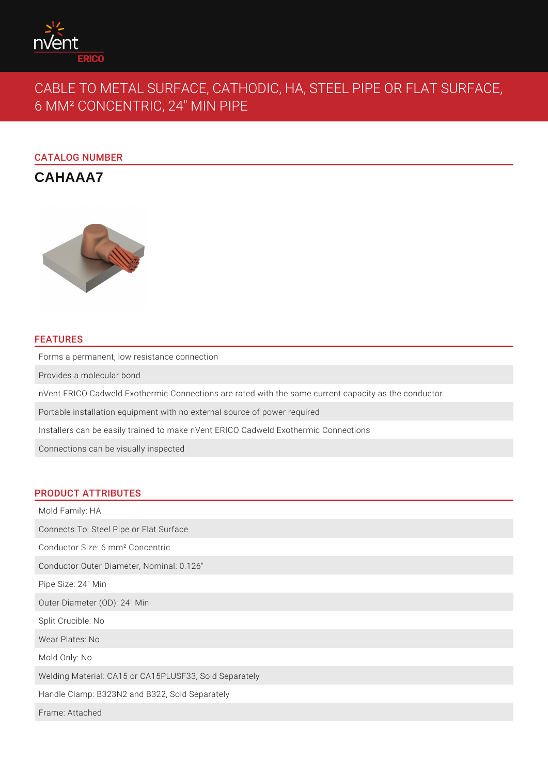

# CABLE TO METAL SURFACE, CATHODIC, HA, STEEL PIPE OR FLAT SURFACE, 6 MM² CONCENTRIC, 24" MIN PIPE

# CATALOG NUMBER

**CAHAAA7**



# FEATURES

Forms a permanent, low resistance connection

Provides a molecular bond

nVent ERICO Cadweld Exothermic Connections are rated with the same current capacity as the conductor

Portable installation equipment with no external source of power required

Installers can be easily trained to make nVent ERICO Cadweld Exothermic Connections

Connections can be visually inspected

## PRODUCT ATTRIBUTES

| Mold Family: HA                                        |
|--------------------------------------------------------|
| Connects To: Steel Pipe or Flat Surface                |
| Conductor Size: 6 mm <sup>2</sup> Concentric           |
| Conductor Outer Diameter, Nominal: 0.126"              |
| Pipe Size: 24" Min                                     |
| Outer Diameter (OD): 24" Min                           |
| Split Crucible: No                                     |
| Wear Plates: No                                        |
| Mold Only: No                                          |
| Welding Material: CA15 or CA15PLUSF33, Sold Separately |
| Handle Clamp: B323N2 and B322, Sold Separately         |
| Frame: Attached                                        |
|                                                        |